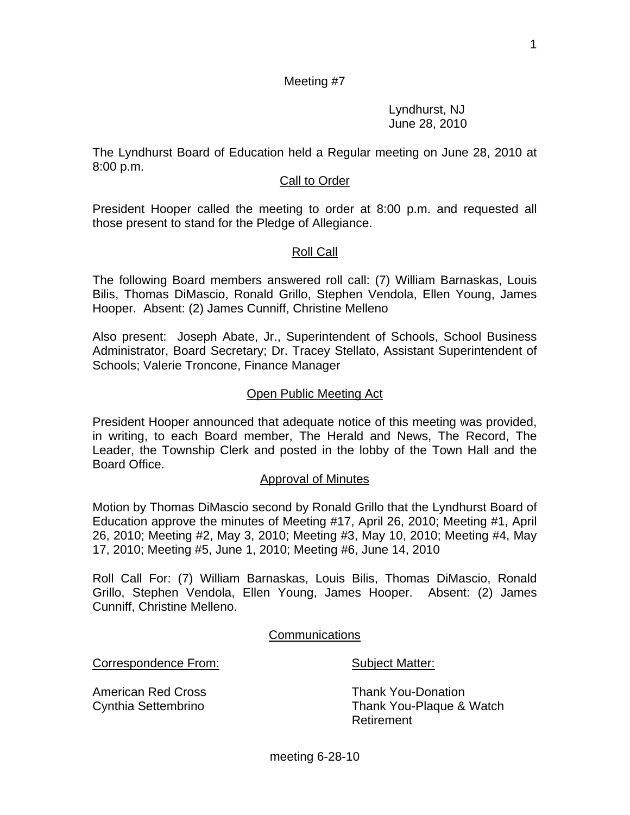Lyndhurst, NJ June 28, 2010

The Lyndhurst Board of Education held a Regular meeting on June 28, 2010 at 8:00 p.m.

#### **Call to Order**

President Hooper called the meeting to order at 8:00 p.m. and requested all those present to stand for the Pledge of Allegiance.

# Roll Call

The following Board members answered roll call: (7) William Barnaskas, Louis Bilis, Thomas DiMascio, Ronald Grillo, Stephen Vendola, Ellen Young, James Hooper. Absent: (2) James Cunniff, Christine Melleno

Also present: Joseph Abate, Jr., Superintendent of Schools, School Business Administrator, Board Secretary; Dr. Tracey Stellato, Assistant Superintendent of Schools; Valerie Troncone, Finance Manager

# Open Public Meeting Act

President Hooper announced that adequate notice of this meeting was provided, in writing, to each Board member, The Herald and News, The Record, The Leader, the Township Clerk and posted in the lobby of the Town Hall and the Board Office.

#### Approval of Minutes

Motion by Thomas DiMascio second by Ronald Grillo that the Lyndhurst Board of Education approve the minutes of Meeting #17, April 26, 2010; Meeting #1, April 26, 2010; Meeting #2, May 3, 2010; Meeting #3, May 10, 2010; Meeting #4, May 17, 2010; Meeting #5, June 1, 2010; Meeting #6, June 14, 2010

Roll Call For: (7) William Barnaskas, Louis Bilis, Thomas DiMascio, Ronald Grillo, Stephen Vendola, Ellen Young, James Hooper. Absent: (2) James Cunniff, Christine Melleno.

**Communications** 

Correspondence From: Subject Matter:

American Red Cross Thank You-Donation

Cynthia Settembrino Thank You-Plaque & Watch Retirement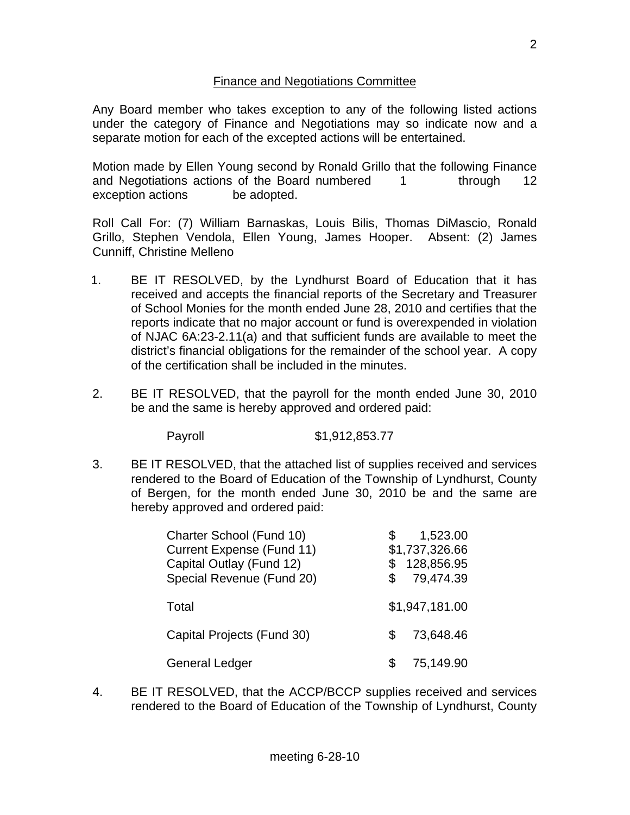# Finance and Negotiations Committee

Any Board member who takes exception to any of the following listed actions under the category of Finance and Negotiations may so indicate now and a separate motion for each of the excepted actions will be entertained.

Motion made by Ellen Young second by Ronald Grillo that the following Finance and Negotiations actions of the Board numbered 1 through 12 exception actions be adopted.

Roll Call For: (7) William Barnaskas, Louis Bilis, Thomas DiMascio, Ronald Grillo, Stephen Vendola, Ellen Young, James Hooper. Absent: (2) James Cunniff, Christine Melleno

- 1. BE IT RESOLVED, by the Lyndhurst Board of Education that it has received and accepts the financial reports of the Secretary and Treasurer of School Monies for the month ended June 28, 2010 and certifies that the reports indicate that no major account or fund is overexpended in violation of NJAC 6A:23-2.11(a) and that sufficient funds are available to meet the district's financial obligations for the remainder of the school year. A copy of the certification shall be included in the minutes.
- 2. BE IT RESOLVED, that the payroll for the month ended June 30, 2010 be and the same is hereby approved and ordered paid:

Payroll \$1,912,853.77

3. BE IT RESOLVED, that the attached list of supplies received and services rendered to the Board of Education of the Township of Lyndhurst, County of Bergen, for the month ended June 30, 2010 be and the same are hereby approved and ordered paid:

| Charter School (Fund 10)<br><b>Current Expense (Fund 11)</b><br>Capital Outlay (Fund 12)<br>Special Revenue (Fund 20) | 1,523.00<br>\$1,737,326.66<br>128,856.95<br>79,474.39 |
|-----------------------------------------------------------------------------------------------------------------------|-------------------------------------------------------|
| Total                                                                                                                 | \$1,947,181.00                                        |
| Capital Projects (Fund 30)                                                                                            | 73,648.46                                             |
| <b>General Ledger</b>                                                                                                 | 75,149.90                                             |

4. BE IT RESOLVED, that the ACCP/BCCP supplies received and services rendered to the Board of Education of the Township of Lyndhurst, County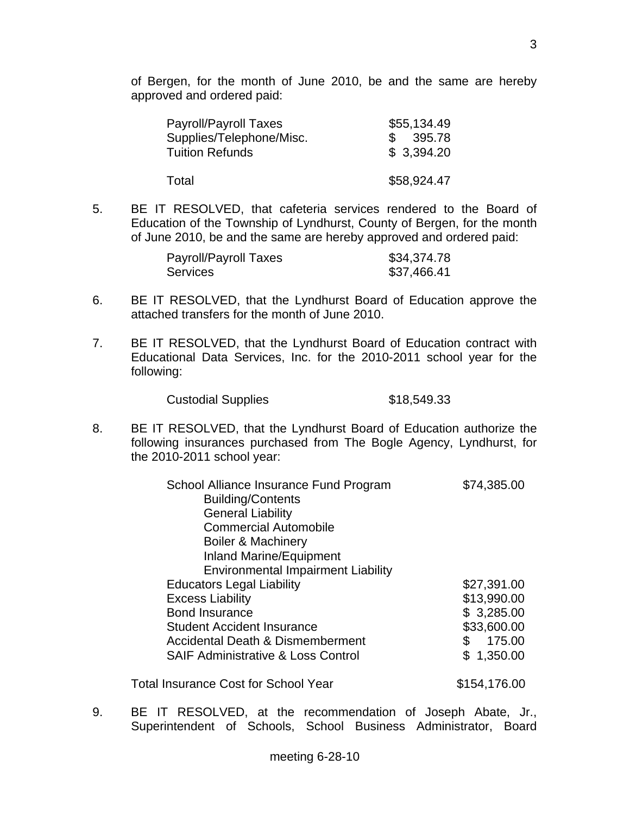of Bergen, for the month of June 2010, be and the same are hereby approved and ordered paid:

| Payroll/Payroll Taxes    | \$55,134.49             |
|--------------------------|-------------------------|
| Supplies/Telephone/Misc. | 395.78<br>$\mathcal{S}$ |
| <b>Tuition Refunds</b>   | \$3,394.20              |
| Total                    | \$58,924.47             |

5. BE IT RESOLVED, that cafeteria services rendered to the Board of Education of the Township of Lyndhurst, County of Bergen, for the month of June 2010, be and the same are hereby approved and ordered paid:

| Payroll/Payroll Taxes | \$34,374.78 |
|-----------------------|-------------|
| <b>Services</b>       | \$37,466.41 |

- 6. BE IT RESOLVED, that the Lyndhurst Board of Education approve the attached transfers for the month of June 2010.
- 7. BE IT RESOLVED, that the Lyndhurst Board of Education contract with Educational Data Services, Inc. for the 2010-2011 school year for the following:

Custodial Supplies \$18,549.33

8. BE IT RESOLVED, that the Lyndhurst Board of Education authorize the following insurances purchased from The Bogle Agency, Lyndhurst, for the 2010-2011 school year:

| School Alliance Insurance Fund Program<br><b>Building/Contents</b> | \$74,385.00   |
|--------------------------------------------------------------------|---------------|
| <b>General Liability</b>                                           |               |
| <b>Commercial Automobile</b>                                       |               |
| <b>Boiler &amp; Machinery</b>                                      |               |
| Inland Marine/Equipment                                            |               |
| <b>Environmental Impairment Liability</b>                          |               |
| <b>Educators Legal Liability</b>                                   | \$27,391.00   |
| <b>Excess Liability</b>                                            | \$13,990.00   |
| <b>Bond Insurance</b>                                              | \$3,285.00    |
| <b>Student Accident Insurance</b>                                  | \$33,600.00   |
| <b>Accidental Death &amp; Dismemberment</b>                        | 175.00<br>\$. |
| <b>SAIF Administrative &amp; Loss Control</b>                      | \$1,350.00    |
| <b>Total Insurance Cost for School Year</b>                        | \$154,176.00  |

9. BE IT RESOLVED, at the recommendation of Joseph Abate, Jr., Superintendent of Schools, School Business Administrator, Board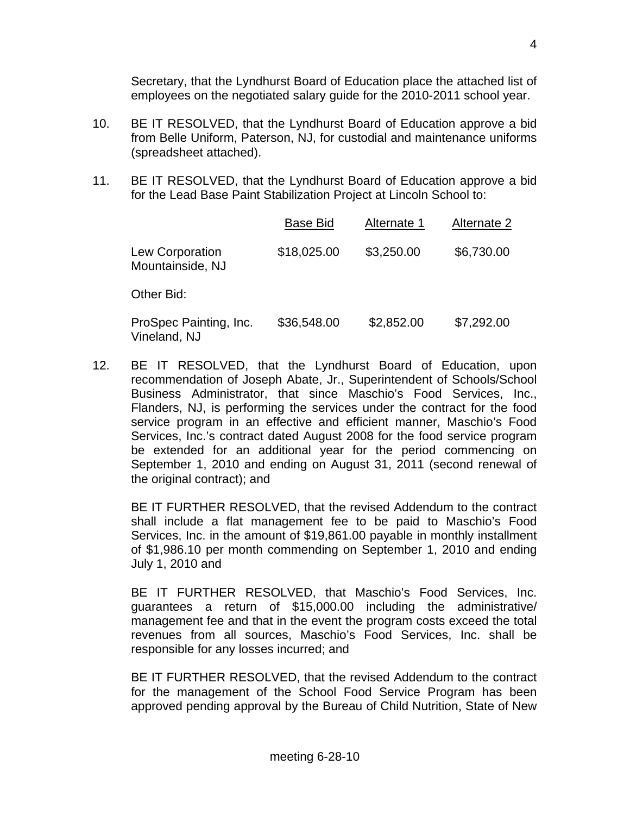Secretary, that the Lyndhurst Board of Education place the attached list of employees on the negotiated salary guide for the 2010-2011 school year.

- 10. BE IT RESOLVED, that the Lyndhurst Board of Education approve a bid from Belle Uniform, Paterson, NJ, for custodial and maintenance uniforms (spreadsheet attached).
- 11. BE IT RESOLVED, that the Lyndhurst Board of Education approve a bid for the Lead Base Paint Stabilization Project at Lincoln School to:

|                                        | <b>Base Bid</b> | Alternate 1 | Alternate 2 |
|----------------------------------------|-----------------|-------------|-------------|
| Lew Corporation<br>Mountainside, NJ    | \$18,025.00     | \$3,250.00  | \$6,730.00  |
| Other Bid:                             |                 |             |             |
| ProSpec Painting, Inc.<br>Vineland, NJ | \$36,548.00     | \$2,852.00  | \$7,292.00  |

12. BE IT RESOLVED, that the Lyndhurst Board of Education, upon recommendation of Joseph Abate, Jr., Superintendent of Schools/School Business Administrator, that since Maschio's Food Services, Inc., Flanders, NJ, is performing the services under the contract for the food service program in an effective and efficient manner, Maschio's Food Services, Inc.'s contract dated August 2008 for the food service program be extended for an additional year for the period commencing on September 1, 2010 and ending on August 31, 2011 (second renewal of the original contract); and

 BE IT FURTHER RESOLVED, that the revised Addendum to the contract shall include a flat management fee to be paid to Maschio's Food Services, Inc. in the amount of \$19,861.00 payable in monthly installment of \$1,986.10 per month commending on September 1, 2010 and ending July 1, 2010 and

 BE IT FURTHER RESOLVED, that Maschio's Food Services, Inc. guarantees a return of \$15,000.00 including the administrative/ management fee and that in the event the program costs exceed the total revenues from all sources, Maschio's Food Services, Inc. shall be responsible for any losses incurred; and

 BE IT FURTHER RESOLVED, that the revised Addendum to the contract for the management of the School Food Service Program has been approved pending approval by the Bureau of Child Nutrition, State of New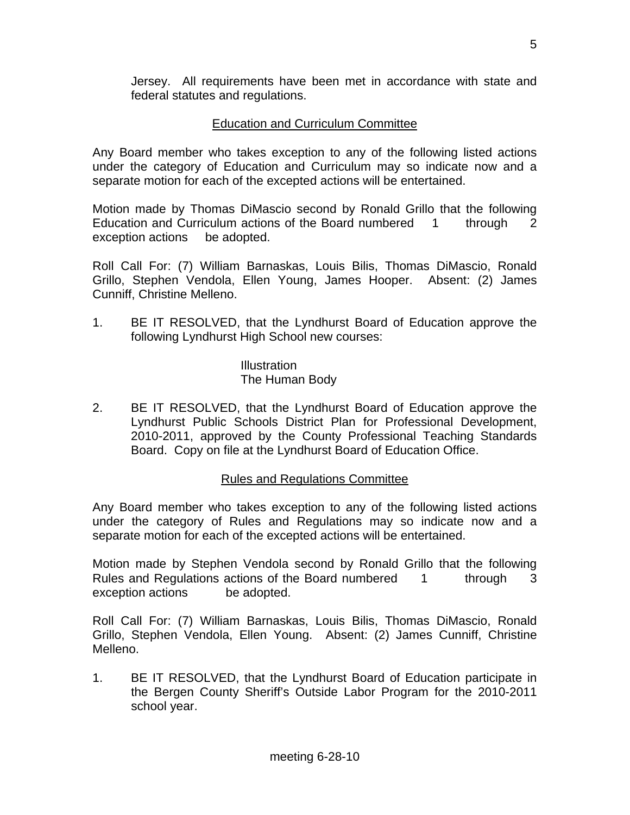Jersey. All requirements have been met in accordance with state and federal statutes and regulations.

# Education and Curriculum Committee

Any Board member who takes exception to any of the following listed actions under the category of Education and Curriculum may so indicate now and a separate motion for each of the excepted actions will be entertained.

Motion made by Thomas DiMascio second by Ronald Grillo that the following Education and Curriculum actions of the Board numbered 1 through 2 exception actions be adopted.

Roll Call For: (7) William Barnaskas, Louis Bilis, Thomas DiMascio, Ronald Grillo, Stephen Vendola, Ellen Young, James Hooper. Absent: (2) James Cunniff, Christine Melleno.

1. BE IT RESOLVED, that the Lyndhurst Board of Education approve the following Lyndhurst High School new courses:

> **Illustration** The Human Body

2. BE IT RESOLVED, that the Lyndhurst Board of Education approve the Lyndhurst Public Schools District Plan for Professional Development, 2010-2011, approved by the County Professional Teaching Standards Board. Copy on file at the Lyndhurst Board of Education Office.

# Rules and Regulations Committee

Any Board member who takes exception to any of the following listed actions under the category of Rules and Regulations may so indicate now and a separate motion for each of the excepted actions will be entertained.

Motion made by Stephen Vendola second by Ronald Grillo that the following Rules and Regulations actions of the Board numbered 1 through 3 exception actions be adopted.

Roll Call For: (7) William Barnaskas, Louis Bilis, Thomas DiMascio, Ronald Grillo, Stephen Vendola, Ellen Young. Absent: (2) James Cunniff, Christine Melleno.

1. BE IT RESOLVED, that the Lyndhurst Board of Education participate in the Bergen County Sheriff's Outside Labor Program for the 2010-2011 school year.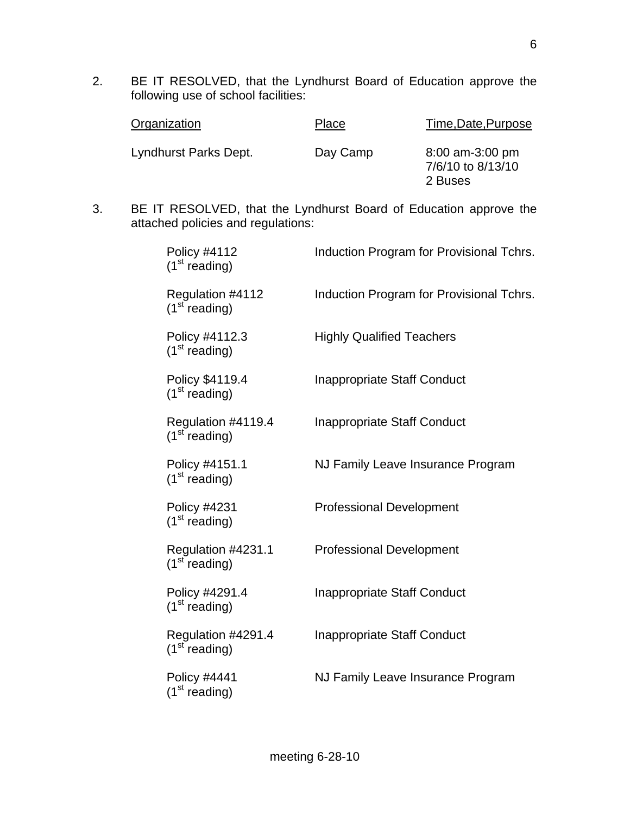2. BE IT RESOLVED, that the Lyndhurst Board of Education approve the following use of school facilities:

| Organization          | Place    | Time, Date, Purpose                             |
|-----------------------|----------|-------------------------------------------------|
| Lyndhurst Parks Dept. | Day Camp | 8:00 am-3:00 pm<br>7/6/10 to 8/13/10<br>2 Buses |

3. BE IT RESOLVED, that the Lyndhurst Board of Education approve the attached policies and regulations:

| Policy #4112<br>(1 <sup>st</sup> reading)        | Induction Program for Provisional Tchrs. |
|--------------------------------------------------|------------------------------------------|
| Regulation #4112<br>(1 <sup>st</sup> reading)    | Induction Program for Provisional Tchrs. |
| Policy #4112.3<br>(1 <sup>st</sup> reading)      | <b>Highly Qualified Teachers</b>         |
| Policy \$4119.4<br>(1 <sup>st</sup> reading)     | <b>Inappropriate Staff Conduct</b>       |
| Regulation #4119.4<br>(1 <sup>st</sup> reading)  | Inappropriate Staff Conduct              |
| Policy #4151.1<br>(1 <sup>st</sup> reading)      | NJ Family Leave Insurance Program        |
| <b>Policy #4231</b><br>(1 <sup>st</sup> reading) | <b>Professional Development</b>          |
| Regulation #4231.1<br>(1 <sup>st</sup> reading)  | <b>Professional Development</b>          |
| Policy #4291.4<br>(1 <sup>st</sup> reading)      | <b>Inappropriate Staff Conduct</b>       |
| Regulation #4291.4<br>(1 <sup>st</sup> reading)  | <b>Inappropriate Staff Conduct</b>       |
| <b>Policy #4441</b><br>(1 <sup>st</sup> reading) | NJ Family Leave Insurance Program        |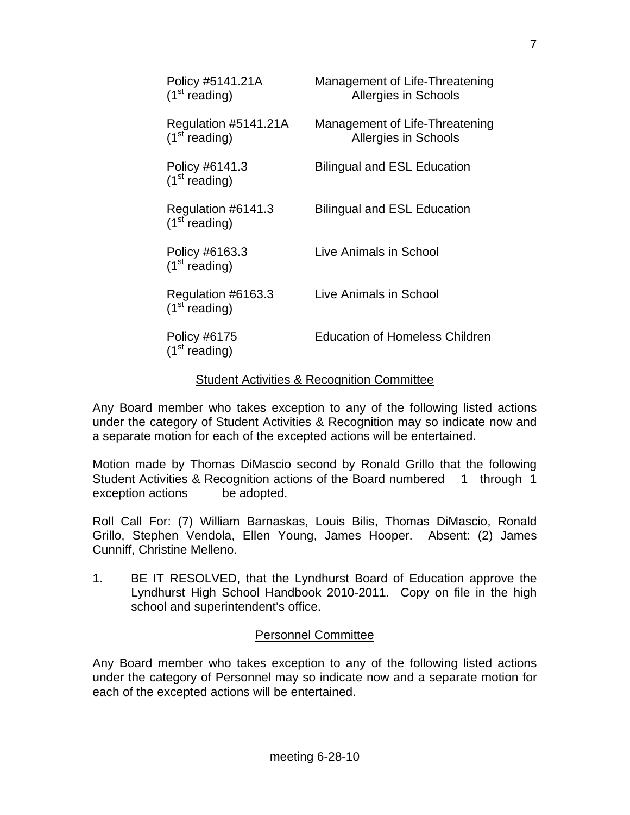| Policy #5141.21A<br>$(1st$ reading)               | Management of Life-Threatening<br><b>Allergies in Schools</b> |
|---------------------------------------------------|---------------------------------------------------------------|
| Regulation #5141.21A<br>(1 <sup>st</sup> reading) | Management of Life-Threatening<br><b>Allergies in Schools</b> |
| Policy #6141.3<br>$(1st$ reading)                 | <b>Bilingual and ESL Education</b>                            |
| Regulation #6141.3<br>$(1st$ reading)             | <b>Bilingual and ESL Education</b>                            |
| Policy #6163.3<br>(1 <sup>st</sup> reading)       | Live Animals in School                                        |
| Regulation #6163.3<br>$(1st$ reading)             | Live Animals in School                                        |
| Policy #6175<br>(1 <sup>st</sup> reading)         | <b>Education of Homeless Children</b>                         |

#### Student Activities & Recognition Committee

Any Board member who takes exception to any of the following listed actions under the category of Student Activities & Recognition may so indicate now and a separate motion for each of the excepted actions will be entertained.

Motion made by Thomas DiMascio second by Ronald Grillo that the following Student Activities & Recognition actions of the Board numbered 1 through 1 exception actions be adopted.

Roll Call For: (7) William Barnaskas, Louis Bilis, Thomas DiMascio, Ronald Grillo, Stephen Vendola, Ellen Young, James Hooper. Absent: (2) James Cunniff, Christine Melleno.

1. BE IT RESOLVED, that the Lyndhurst Board of Education approve the Lyndhurst High School Handbook 2010-2011. Copy on file in the high school and superintendent's office.

# Personnel Committee

Any Board member who takes exception to any of the following listed actions under the category of Personnel may so indicate now and a separate motion for each of the excepted actions will be entertained.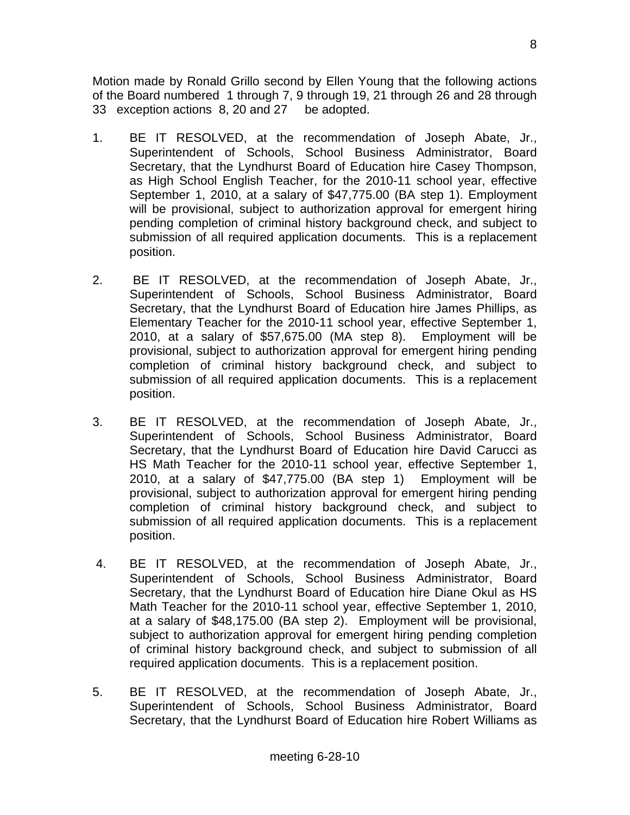Motion made by Ronald Grillo second by Ellen Young that the following actions of the Board numbered 1 through 7, 9 through 19, 21 through 26 and 28 through 33 exception actions 8, 20 and 27 be adopted.

- 1. BE IT RESOLVED, at the recommendation of Joseph Abate, Jr., Superintendent of Schools, School Business Administrator, Board Secretary, that the Lyndhurst Board of Education hire Casey Thompson, as High School English Teacher, for the 2010-11 school year, effective September 1, 2010, at a salary of \$47,775.00 (BA step 1). Employment will be provisional, subject to authorization approval for emergent hiring pending completion of criminal history background check, and subject to submission of all required application documents. This is a replacement position.
- 2. BE IT RESOLVED, at the recommendation of Joseph Abate, Jr., Superintendent of Schools, School Business Administrator, Board Secretary, that the Lyndhurst Board of Education hire James Phillips, as Elementary Teacher for the 2010-11 school year, effective September 1, 2010, at a salary of \$57,675.00 (MA step 8). Employment will be provisional, subject to authorization approval for emergent hiring pending completion of criminal history background check, and subject to submission of all required application documents. This is a replacement position.
- 3. BE IT RESOLVED, at the recommendation of Joseph Abate, Jr., Superintendent of Schools, School Business Administrator, Board Secretary, that the Lyndhurst Board of Education hire David Carucci as HS Math Teacher for the 2010-11 school year, effective September 1, 2010, at a salary of \$47,775.00 (BA step 1) Employment will be provisional, subject to authorization approval for emergent hiring pending completion of criminal history background check, and subject to submission of all required application documents. This is a replacement position.
- 4. BE IT RESOLVED, at the recommendation of Joseph Abate, Jr., Superintendent of Schools, School Business Administrator, Board Secretary, that the Lyndhurst Board of Education hire Diane Okul as HS Math Teacher for the 2010-11 school year, effective September 1, 2010, at a salary of \$48,175.00 (BA step 2). Employment will be provisional, subject to authorization approval for emergent hiring pending completion of criminal history background check, and subject to submission of all required application documents. This is a replacement position.
- 5. BE IT RESOLVED, at the recommendation of Joseph Abate, Jr., Superintendent of Schools, School Business Administrator, Board Secretary, that the Lyndhurst Board of Education hire Robert Williams as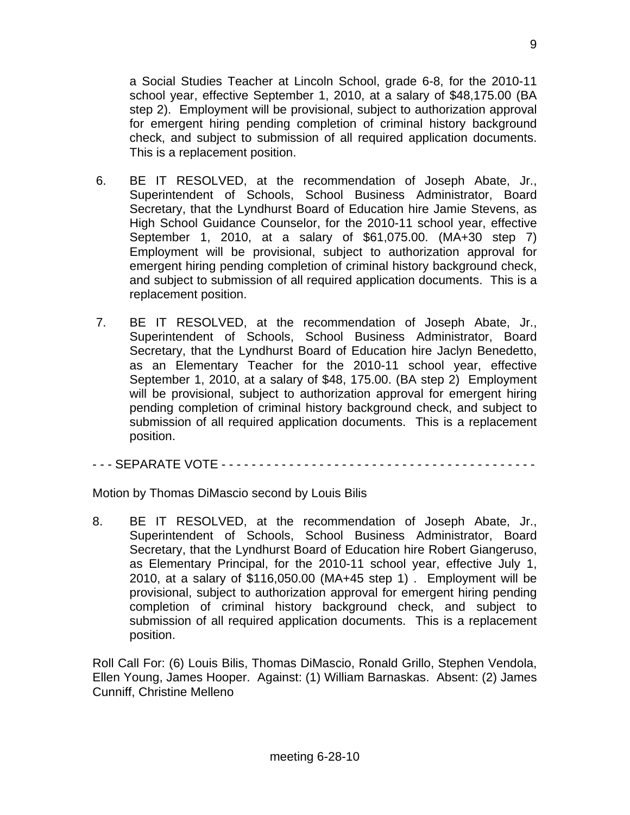a Social Studies Teacher at Lincoln School, grade 6-8, for the 2010-11 school year, effective September 1, 2010, at a salary of \$48,175.00 (BA step 2). Employment will be provisional, subject to authorization approval for emergent hiring pending completion of criminal history background check, and subject to submission of all required application documents. This is a replacement position.

- 6. BE IT RESOLVED, at the recommendation of Joseph Abate, Jr., Superintendent of Schools, School Business Administrator, Board Secretary, that the Lyndhurst Board of Education hire Jamie Stevens, as High School Guidance Counselor, for the 2010-11 school year, effective September 1, 2010, at a salary of \$61,075.00. (MA+30 step 7) Employment will be provisional, subject to authorization approval for emergent hiring pending completion of criminal history background check, and subject to submission of all required application documents. This is a replacement position.
- 7. BE IT RESOLVED, at the recommendation of Joseph Abate, Jr., Superintendent of Schools, School Business Administrator, Board Secretary, that the Lyndhurst Board of Education hire Jaclyn Benedetto, as an Elementary Teacher for the 2010-11 school year, effective September 1, 2010, at a salary of \$48, 175.00. (BA step 2) Employment will be provisional, subject to authorization approval for emergent hiring pending completion of criminal history background check, and subject to submission of all required application documents. This is a replacement position.

- - - SEPARATE VOTE - - - - - - - - - - - - - - - - - - - - - - - - - - - - - - - - - - - - - - - - - -

Motion by Thomas DiMascio second by Louis Bilis

8. BE IT RESOLVED, at the recommendation of Joseph Abate, Jr., Superintendent of Schools, School Business Administrator, Board Secretary, that the Lyndhurst Board of Education hire Robert Giangeruso, as Elementary Principal, for the 2010-11 school year, effective July 1, 2010, at a salary of \$116,050.00 (MA+45 step 1) . Employment will be provisional, subject to authorization approval for emergent hiring pending completion of criminal history background check, and subject to submission of all required application documents. This is a replacement position.

Roll Call For: (6) Louis Bilis, Thomas DiMascio, Ronald Grillo, Stephen Vendola, Ellen Young, James Hooper. Against: (1) William Barnaskas. Absent: (2) James Cunniff, Christine Melleno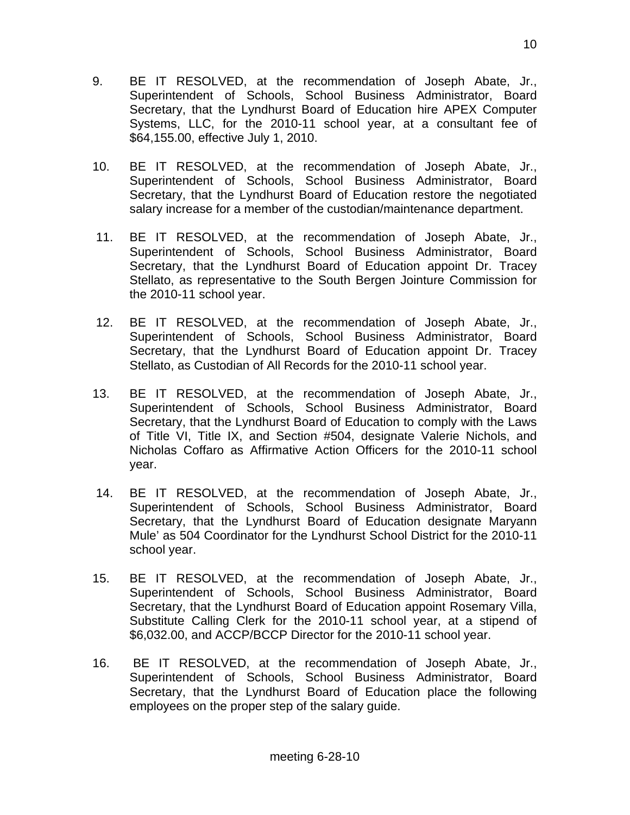- 9. BE IT RESOLVED, at the recommendation of Joseph Abate, Jr., Superintendent of Schools, School Business Administrator, Board Secretary, that the Lyndhurst Board of Education hire APEX Computer Systems, LLC, for the 2010-11 school year, at a consultant fee of \$64,155.00, effective July 1, 2010.
- 10. BE IT RESOLVED, at the recommendation of Joseph Abate, Jr., Superintendent of Schools, School Business Administrator, Board Secretary, that the Lyndhurst Board of Education restore the negotiated salary increase for a member of the custodian/maintenance department.
- 11. BE IT RESOLVED, at the recommendation of Joseph Abate, Jr., Superintendent of Schools, School Business Administrator, Board Secretary, that the Lyndhurst Board of Education appoint Dr. Tracey Stellato, as representative to the South Bergen Jointure Commission for the 2010-11 school year.
- 12. BE IT RESOLVED, at the recommendation of Joseph Abate, Jr., Superintendent of Schools, School Business Administrator, Board Secretary, that the Lyndhurst Board of Education appoint Dr. Tracey Stellato, as Custodian of All Records for the 2010-11 school year.
- 13. BE IT RESOLVED, at the recommendation of Joseph Abate, Jr., Superintendent of Schools, School Business Administrator, Board Secretary, that the Lyndhurst Board of Education to comply with the Laws of Title VI, Title IX, and Section #504, designate Valerie Nichols, and Nicholas Coffaro as Affirmative Action Officers for the 2010-11 school year.
- 14. BE IT RESOLVED, at the recommendation of Joseph Abate, Jr., Superintendent of Schools, School Business Administrator, Board Secretary, that the Lyndhurst Board of Education designate Maryann Mule' as 504 Coordinator for the Lyndhurst School District for the 2010-11 school year.
- 15. BE IT RESOLVED, at the recommendation of Joseph Abate, Jr., Superintendent of Schools, School Business Administrator, Board Secretary, that the Lyndhurst Board of Education appoint Rosemary Villa, Substitute Calling Clerk for the 2010-11 school year, at a stipend of \$6,032.00, and ACCP/BCCP Director for the 2010-11 school year.
- 16. BE IT RESOLVED, at the recommendation of Joseph Abate, Jr., Superintendent of Schools, School Business Administrator, Board Secretary, that the Lyndhurst Board of Education place the following employees on the proper step of the salary guide.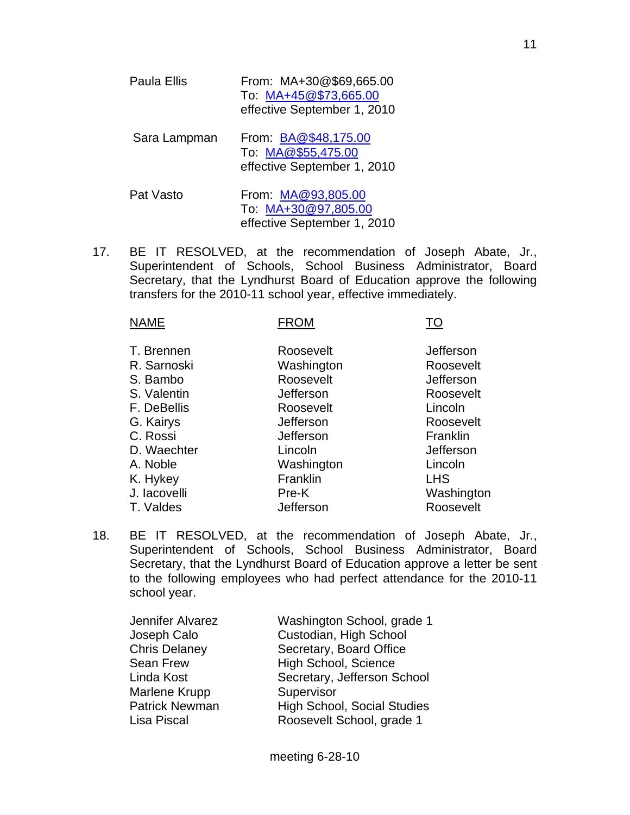- Paula Ellis From: MA+30@\$69,665.00 To: [MA+45@\\$73,665.00](mailto:MA+45@$73,665.00) effective September 1, 2010 Sara Lampman From: [BA@\\$48,175.00](mailto:BA@$48,175.00) To: [MA@\\$55,475.00](mailto:MA@$55,475.00) effective September 1, 2010 Pat Vasto From: [MA@93,805.00](mailto:MA@93,805.00)
- 17. BE IT RESOLVED, at the recommendation of Joseph Abate, Jr., Superintendent of Schools, School Business Administrator, Board Secretary, that the Lyndhurst Board of Education approve the following transfers for the 2010-11 school year, effective immediately.

 To: [MA+30@97,805.00](mailto:MA+30@97,805.00) effective September 1, 2010

| <b>NAME</b>                                                                                                             | <b>FROM</b>                                                                                                       |                                                                                                                            |
|-------------------------------------------------------------------------------------------------------------------------|-------------------------------------------------------------------------------------------------------------------|----------------------------------------------------------------------------------------------------------------------------|
| T. Brennen<br>R. Sarnoski<br>S. Bambo<br>S. Valentin<br>F. DeBellis<br>G. Kairys<br>C. Rossi<br>D. Waechter<br>A. Noble | Roosevelt<br>Washington<br>Roosevelt<br>Jefferson<br>Roosevelt<br>Jefferson<br>Jefferson<br>Lincoln<br>Washington | <b>Jefferson</b><br>Roosevelt<br><b>Jefferson</b><br>Roosevelt<br>Lincoln<br>Roosevelt<br>Franklin<br>Jefferson<br>Lincoln |
| K. Hykey<br>J. lacovelli                                                                                                | Franklin<br>Pre-K                                                                                                 | <b>LHS</b><br>Washington                                                                                                   |
|                                                                                                                         |                                                                                                                   |                                                                                                                            |
| T. Valdes                                                                                                               | Jefferson                                                                                                         | Roosevelt                                                                                                                  |

18. BE IT RESOLVED, at the recommendation of Joseph Abate, Jr., Superintendent of Schools, School Business Administrator, Board Secretary, that the Lyndhurst Board of Education approve a letter be sent to the following employees who had perfect attendance for the 2010-11 school year.

| Jennifer Alvarez      | Washington School, grade 1         |
|-----------------------|------------------------------------|
| Joseph Calo           | Custodian, High School             |
| <b>Chris Delaney</b>  | Secretary, Board Office            |
| Sean Frew             | High School, Science               |
| Linda Kost            | Secretary, Jefferson School        |
| Marlene Krupp         | Supervisor                         |
| <b>Patrick Newman</b> | <b>High School, Social Studies</b> |
| Lisa Piscal           | Roosevelt School, grade 1          |
|                       |                                    |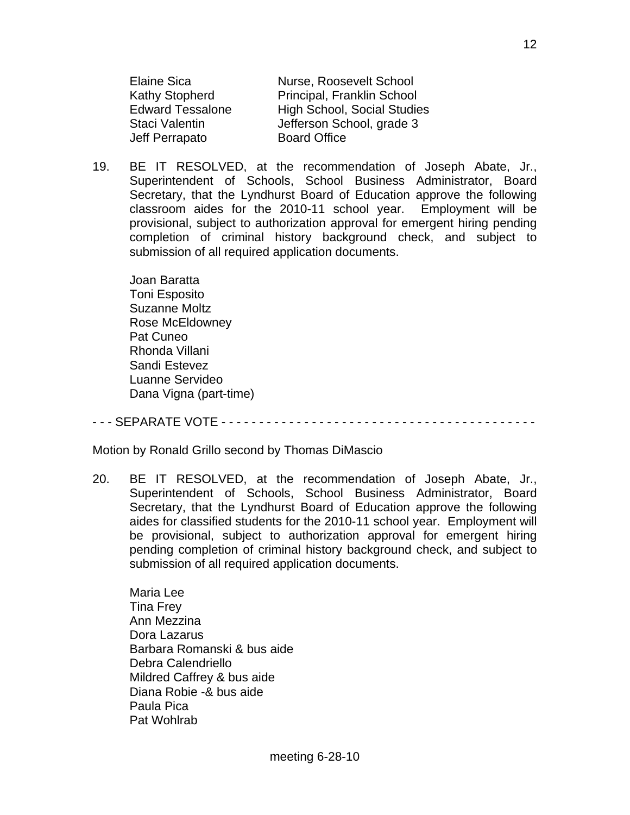Jeff Perrapato Board Office

 Elaine Sica Nurse, Roosevelt School Kathy Stopherd Principal, Franklin School Edward Tessalone High School, Social Studies Staci Valentin Jefferson School, grade 3

19. BE IT RESOLVED, at the recommendation of Joseph Abate, Jr., Superintendent of Schools, School Business Administrator, Board Secretary, that the Lyndhurst Board of Education approve the following classroom aides for the 2010-11 school year. Employment will be provisional, subject to authorization approval for emergent hiring pending completion of criminal history background check, and subject to submission of all required application documents.

 Joan Baratta Toni Esposito Suzanne Moltz Rose McEldowney Pat Cuneo Rhonda Villani Sandi Estevez Luanne Servideo Dana Vigna (part-time)

- - - SEPARATE VOTE - - - - - - - - - - - - - - - - - - - - - - - - - - - - - - - - - - - - - - - - - -

Motion by Ronald Grillo second by Thomas DiMascio

20. BE IT RESOLVED, at the recommendation of Joseph Abate, Jr., Superintendent of Schools, School Business Administrator, Board Secretary, that the Lyndhurst Board of Education approve the following aides for classified students for the 2010-11 school year. Employment will be provisional, subject to authorization approval for emergent hiring pending completion of criminal history background check, and subject to submission of all required application documents.

 Maria Lee Tina Frey Ann Mezzina Dora Lazarus Barbara Romanski & bus aide Debra Calendriello Mildred Caffrey & bus aide Diana Robie -& bus aide Paula Pica Pat Wohlrab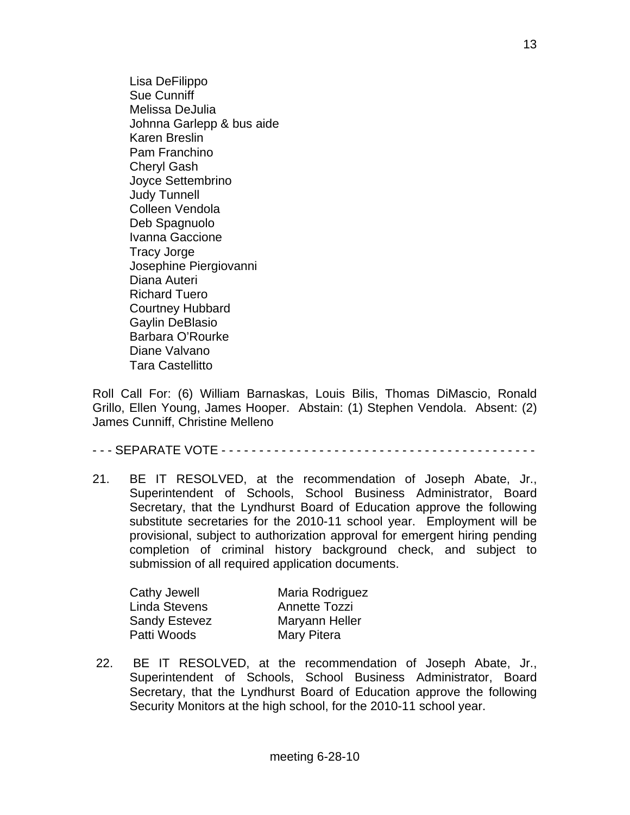Lisa DeFilippo Sue Cunniff Melissa DeJulia Johnna Garlepp & bus aide Karen Breslin Pam Franchino Cheryl Gash Joyce Settembrino Judy Tunnell Colleen Vendola Deb Spagnuolo Ivanna Gaccione Tracy Jorge Josephine Piergiovanni Diana Auteri Richard Tuero Courtney Hubbard Gaylin DeBlasio Barbara O'Rourke Diane Valvano Tara Castellitto

Roll Call For: (6) William Barnaskas, Louis Bilis, Thomas DiMascio, Ronald Grillo, Ellen Young, James Hooper. Abstain: (1) Stephen Vendola. Absent: (2) James Cunniff, Christine Melleno

- - - SEPARATE VOTE - - - - - - - - - - - - - - - - - - - - - - - - - - - - - - - - - - - - - - - - - -

21. BE IT RESOLVED, at the recommendation of Joseph Abate, Jr., Superintendent of Schools, School Business Administrator, Board Secretary, that the Lyndhurst Board of Education approve the following substitute secretaries for the 2010-11 school year. Employment will be provisional, subject to authorization approval for emergent hiring pending completion of criminal history background check, and subject to submission of all required application documents.

| Maria Rodriguez |
|-----------------|
| Annette Tozzi   |
| Maryann Heller  |
| Mary Pitera     |
|                 |

 22. BE IT RESOLVED, at the recommendation of Joseph Abate, Jr., Superintendent of Schools, School Business Administrator, Board Secretary, that the Lyndhurst Board of Education approve the following Security Monitors at the high school, for the 2010-11 school year.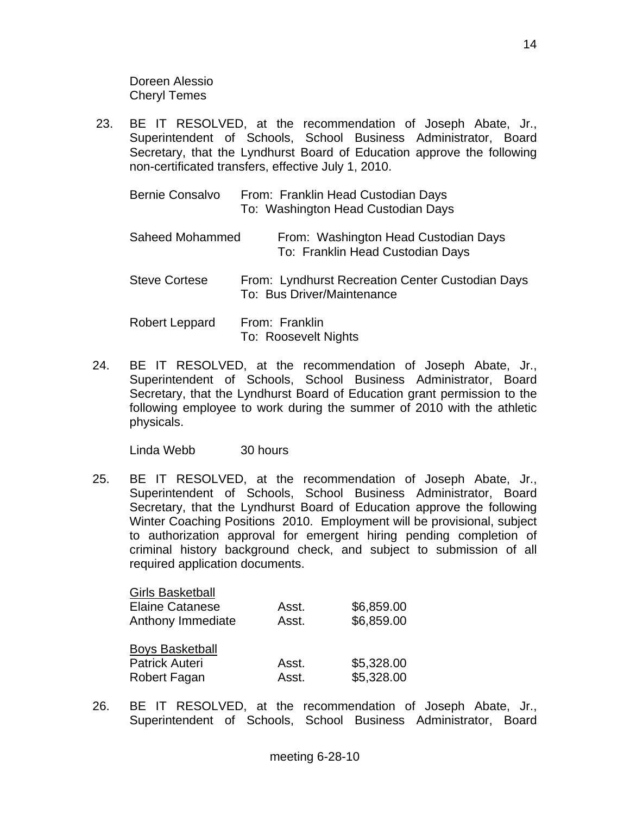Doreen Alessio Cheryl Temes

 23. BE IT RESOLVED, at the recommendation of Joseph Abate, Jr., Superintendent of Schools, School Business Administrator, Board Secretary, that the Lyndhurst Board of Education approve the following non-certificated transfers, effective July 1, 2010.

| <b>Bernie Consalvo</b> | From: Franklin Head Custodian Days |
|------------------------|------------------------------------|
|                        | To: Washington Head Custodian Days |

| Saheed Mohammed | From: Washington Head Custodian Days |
|-----------------|--------------------------------------|
|                 | To: Franklin Head Custodian Days     |

Steve Cortese From: Lyndhurst Recreation Center Custodian Days To: Bus Driver/Maintenance

| Robert Leppard | From: Franklin       |
|----------------|----------------------|
|                | To: Roosevelt Nights |

24. BE IT RESOLVED, at the recommendation of Joseph Abate, Jr., Superintendent of Schools, School Business Administrator, Board Secretary, that the Lyndhurst Board of Education grant permission to the following employee to work during the summer of 2010 with the athletic physicals.

Linda Webb 30 hours

25. BE IT RESOLVED, at the recommendation of Joseph Abate, Jr., Superintendent of Schools, School Business Administrator, Board Secretary, that the Lyndhurst Board of Education approve the following Winter Coaching Positions 2010. Employment will be provisional, subject to authorization approval for emergent hiring pending completion of criminal history background check, and subject to submission of all required application documents.

| <b>Girls Basketball</b> |       |            |
|-------------------------|-------|------------|
| <b>Elaine Catanese</b>  | Asst. | \$6,859.00 |
| Anthony Immediate       | Asst. | \$6,859.00 |
| <b>Boys Basketball</b>  |       |            |
| <b>Patrick Auteri</b>   | Asst. | \$5,328.00 |
| Robert Fagan            | Asst. | \$5,328.00 |

26. BE IT RESOLVED, at the recommendation of Joseph Abate, Jr., Superintendent of Schools, School Business Administrator, Board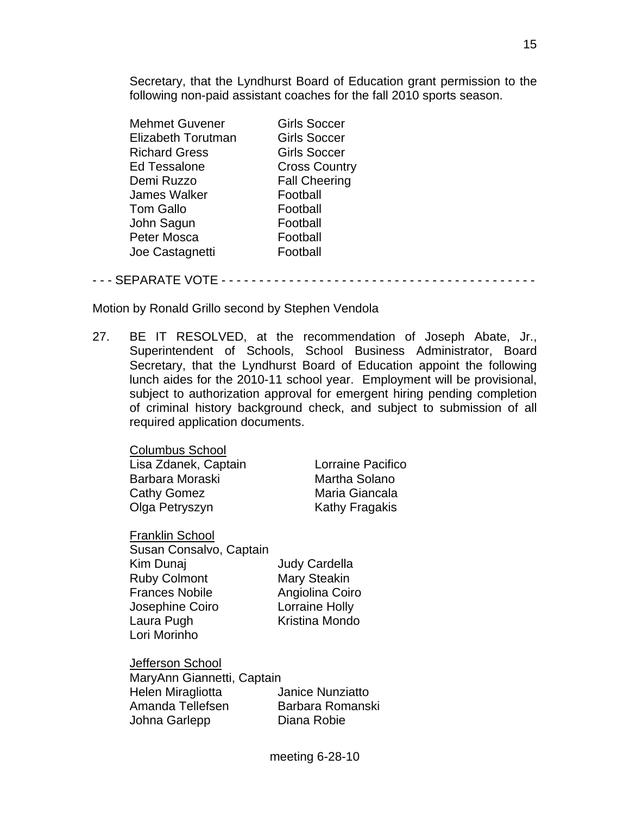Secretary, that the Lyndhurst Board of Education grant permission to the following non-paid assistant coaches for the fall 2010 sports season.

| <b>Mehmet Guvener</b> | <b>Girls Soccer</b>  |
|-----------------------|----------------------|
| Elizabeth Torutman    | <b>Girls Soccer</b>  |
| <b>Richard Gress</b>  | <b>Girls Soccer</b>  |
| <b>Ed Tessalone</b>   | <b>Cross Country</b> |
| Demi Ruzzo            | <b>Fall Cheering</b> |
| <b>James Walker</b>   | Football             |
| <b>Tom Gallo</b>      | Football             |
| John Sagun            | Football             |
| Peter Mosca           | Football             |
| Joe Castagnetti       | Football             |
|                       |                      |

- - - SEPARATE VOTE - - - - - - - - - - - - - - - - - - - - - - - - - - - - - - - - - - - - - - - - - -

Motion by Ronald Grillo second by Stephen Vendola

27. BE IT RESOLVED, at the recommendation of Joseph Abate, Jr., Superintendent of Schools, School Business Administrator, Board Secretary, that the Lyndhurst Board of Education appoint the following lunch aides for the 2010-11 school year. Employment will be provisional, subject to authorization approval for emergent hiring pending completion of criminal history background check, and subject to submission of all required application documents.

Columbus School Lisa Zdanek, Captain Lorraine Pacifico Barbara Moraski Martha Solano Cathy Gomez Maria Giancala Olga Petryszyn Kathy Fragakis

Franklin School Susan Consalvo, Captain Kim Dunaj Judy Cardella Ruby Colmont Mary Steakin Frances Nobile Angiolina Coiro Josephine Coiro Lorraine Holly Laura Pugh Kristina Mondo Lori Morinho

Jefferson School MaryAnn Giannetti, Captain Helen Miragliotta Janice Nunziatto Amanda Tellefsen Barbara Romanski Johna Garlepp Diana Robie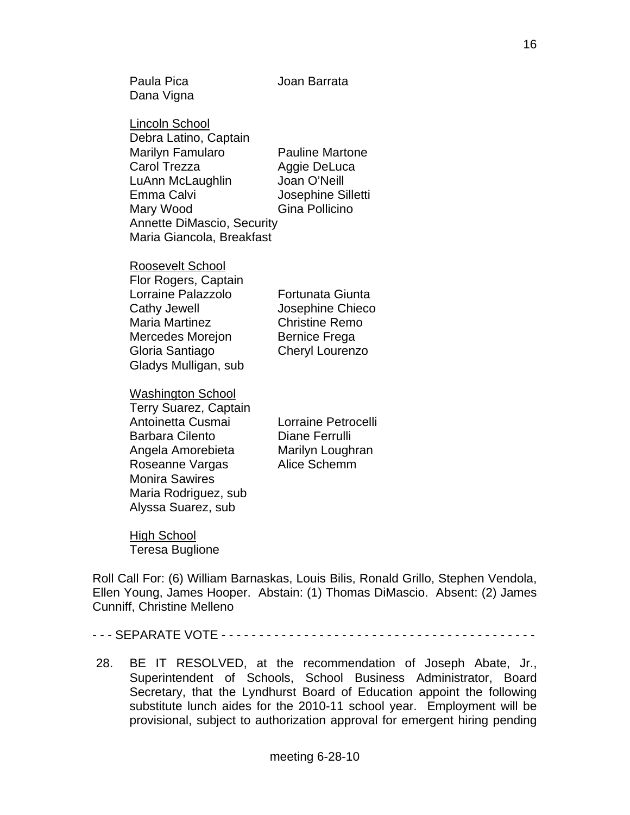Paula Pica Joan Barrata Dana Vigna Lincoln School Debra Latino, Captain Marilyn Famularo Pauline Martone Carol Trezza Aggie DeLuca LuAnn McLaughlin Joan O'Neill Emma Calvi Josephine Silletti Mary Wood Gina Pollicino Annette DiMascio, Security Maria Giancola, Breakfast Roosevelt School Flor Rogers, Captain Lorraine Palazzolo Fortunata Giunta Cathy Jewell Josephine Chieco Maria Martinez Christine Remo Mercedes Moreion Bernice Frega Gloria Santiago Cheryl Lourenzo Gladys Mulligan, sub Washington School Terry Suarez, Captain Antoinetta Cusmai Lorraine Petrocelli Barbara Cilento **Diane Ferrulli**  Angela Amorebieta Marilyn Loughran Roseanne Vargas Alice Schemm

High School Teresa Buglione

Monira Sawires

 Maria Rodriguez, sub Alyssa Suarez, sub

Roll Call For: (6) William Barnaskas, Louis Bilis, Ronald Grillo, Stephen Vendola, Ellen Young, James Hooper. Abstain: (1) Thomas DiMascio. Absent: (2) James Cunniff, Christine Melleno

- - - SEPARATE VOTE - - - - - - - - - - - - - - - - - - - - - - - - - - - - - - - - - - - - - - - - - -

 28. BE IT RESOLVED, at the recommendation of Joseph Abate, Jr., Superintendent of Schools, School Business Administrator, Board Secretary, that the Lyndhurst Board of Education appoint the following substitute lunch aides for the 2010-11 school year. Employment will be provisional, subject to authorization approval for emergent hiring pending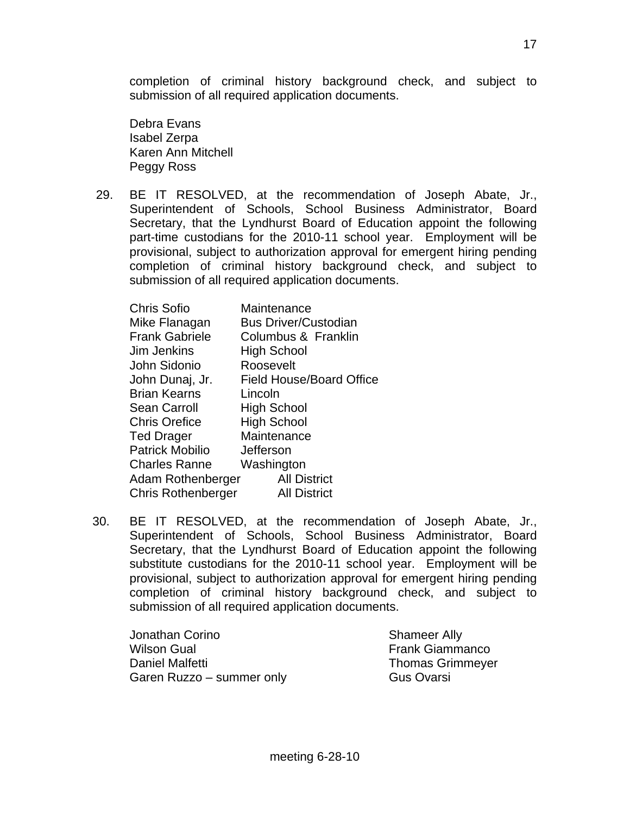completion of criminal history background check, and subject to submission of all required application documents.

 Debra Evans Isabel Zerpa Karen Ann Mitchell Peggy Ross

 29. BE IT RESOLVED, at the recommendation of Joseph Abate, Jr., Superintendent of Schools, School Business Administrator, Board Secretary, that the Lyndhurst Board of Education appoint the following part-time custodians for the 2010-11 school year. Employment will be provisional, subject to authorization approval for emergent hiring pending completion of criminal history background check, and subject to submission of all required application documents.

| <b>Chris Sofio</b>        | Maintenance                     |
|---------------------------|---------------------------------|
| Mike Flanagan             | <b>Bus Driver/Custodian</b>     |
| <b>Frank Gabriele</b>     | Columbus & Franklin             |
| Jim Jenkins               | <b>High School</b>              |
| John Sidonio              | Roosevelt                       |
| John Dunaj, Jr.           | <b>Field House/Board Office</b> |
| <b>Brian Kearns</b>       | Lincoln                         |
| <b>Sean Carroll</b>       | <b>High School</b>              |
| <b>Chris Orefice</b>      | <b>High School</b>              |
| <b>Ted Drager</b>         | Maintenance                     |
| <b>Patrick Mobilio</b>    | Jefferson                       |
| <b>Charles Ranne</b>      | Washington                      |
| Adam Rothenberger         | <b>All District</b>             |
| <b>Chris Rothenberger</b> | <b>All District</b>             |

30. BE IT RESOLVED, at the recommendation of Joseph Abate, Jr., Superintendent of Schools, School Business Administrator, Board Secretary, that the Lyndhurst Board of Education appoint the following substitute custodians for the 2010-11 school year. Employment will be provisional, subject to authorization approval for emergent hiring pending completion of criminal history background check, and subject to submission of all required application documents.

Jonathan Corino **Shameer Ally** Wilson Gual **Frank Giammanco Frank Giammanco** Daniel Malfetti Thomas Grimmeyer Garen Ruzzo – summer only Gus Ovarsi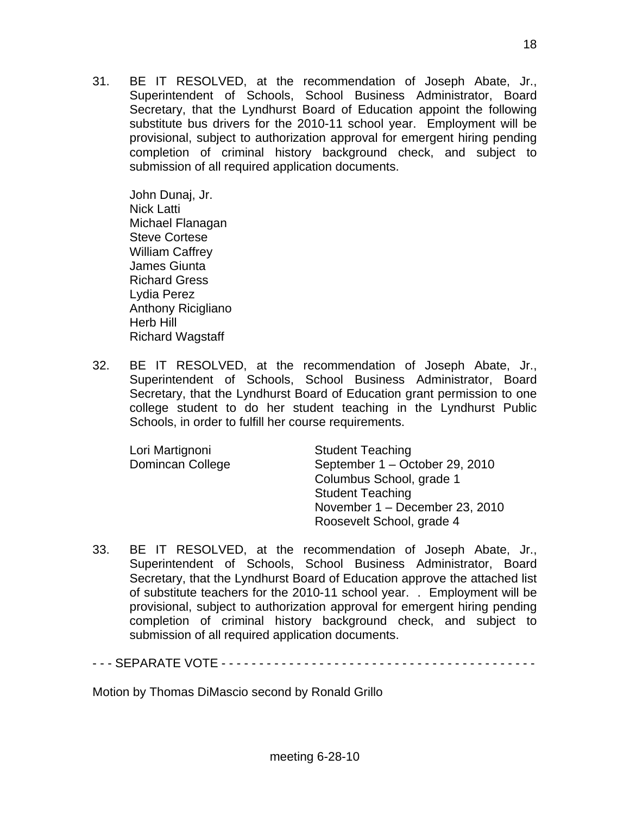31. BE IT RESOLVED, at the recommendation of Joseph Abate, Jr., Superintendent of Schools, School Business Administrator, Board Secretary, that the Lyndhurst Board of Education appoint the following substitute bus drivers for the 2010-11 school year. Employment will be provisional, subject to authorization approval for emergent hiring pending completion of criminal history background check, and subject to submission of all required application documents.

 John Dunaj, Jr. Nick Latti Michael Flanagan Steve Cortese William Caffrey James Giunta Richard Gress Lydia Perez Anthony Ricigliano Herb Hill Richard Wagstaff

32. BE IT RESOLVED, at the recommendation of Joseph Abate, Jr., Superintendent of Schools, School Business Administrator, Board Secretary, that the Lyndhurst Board of Education grant permission to one college student to do her student teaching in the Lyndhurst Public Schools, in order to fulfill her course requirements.

| Lori Martignoni  | <b>Student Teaching</b>        |
|------------------|--------------------------------|
| Domincan College | September 1 - October 29, 2010 |
|                  | Columbus School, grade 1       |
|                  | <b>Student Teaching</b>        |
|                  | November 1 - December 23, 2010 |
|                  | Roosevelt School, grade 4      |

33. BE IT RESOLVED, at the recommendation of Joseph Abate, Jr., Superintendent of Schools, School Business Administrator, Board Secretary, that the Lyndhurst Board of Education approve the attached list of substitute teachers for the 2010-11 school year. . Employment will be provisional, subject to authorization approval for emergent hiring pending completion of criminal history background check, and subject to submission of all required application documents.

- - - SEPARATE VOTE - - - - - - - - - - - - - - - - - - - - - - - - - - - - - - - - - - - - - - - - - -

Motion by Thomas DiMascio second by Ronald Grillo